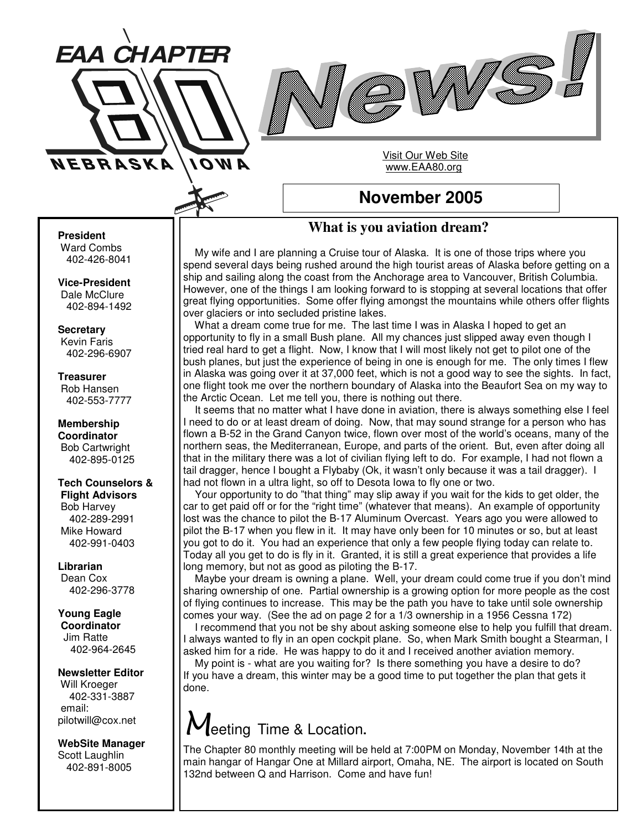



Visit Our Web Site www.EAA80.org

## **November 2005**

## **What is you aviation dream?**

My wife and I are planning a Cruise tour of Alaska. It is one of those trips where you spend several days being rushed around the high tourist areas of Alaska before getting on a ship and sailing along the coast from the Anchorage area to Vancouver, British Columbia. However, one of the things I am looking forward to is stopping at several locations that offer great flying opportunities. Some offer flying amongst the mountains while others offer flights over glaciers or into secluded pristine lakes.

What a dream come true for me. The last time I was in Alaska I hoped to get an opportunity to fly in a small Bush plane. All my chances just slipped away even though I tried real hard to get a flight. Now, I know that I will most likely not get to pilot one of the bush planes, but just the experience of being in one is enough for me. The only times I flew in Alaska was going over it at 37,000 feet, which is not a good way to see the sights. In fact, one flight took me over the northern boundary of Alaska into the Beaufort Sea on my way to the Arctic Ocean. Let me tell you, there is nothing out there.

It seems that no matter what I have done in aviation, there is always something else I feel I need to do or at least dream of doing. Now, that may sound strange for a person who has flown a B-52 in the Grand Canyon twice, flown over most of the world's oceans, many of the northern seas, the Mediterranean, Europe, and parts of the orient. But, even after doing all that in the military there was a lot of civilian flying left to do. For example, I had not flown a tail dragger, hence I bought a Flybaby (Ok, it wasn't only because it was a tail dragger). I had not flown in a ultra light, so off to Desota Iowa to fly one or two.

Your opportunity to do "that thing" may slip away if you wait for the kids to get older, the car to get paid off or for the "right time" (whatever that means). An example of opportunity lost was the chance to pilot the B-17 Aluminum Overcast. Years ago you were allowed to pilot the B-17 when you flew in it. It may have only been for 10 minutes or so, but at least you got to do it. You had an experience that only a few people flying today can relate to. Today all you get to do is fly in it. Granted, it is still a great experience that provides a life long memory, but not as good as piloting the B-17.

Maybe your dream is owning a plane. Well, your dream could come true if you don't mind sharing ownership of one. Partial ownership is a growing option for more people as the cost of flying continues to increase. This may be the path you have to take until sole ownership comes your way. (See the ad on page 2 for a 1/3 ownership in a 1956 Cessna 172)

I recommend that you not be shy about asking someone else to help you fulfill that dream. I always wanted to fly in an open cockpit plane. So, when Mark Smith bought a Stearman, I asked him for a ride. He was happy to do it and I received another aviation memory.

My point is - what are you waiting for? Is there something you have a desire to do? If you have a dream, this winter may be a good time to put together the plan that gets it done.

## eeting Time & Location**.**

The Chapter 80 monthly meeting will be held at 7:00PM on Monday, November 14th at the main hangar of Hangar One at Millard airport, Omaha, NE. The airport is located on South 132nd between Q and Harrison. Come and have fun!

**President**

Ward Combs 402-426-8041

**Vice-President** Dale McClure 402-894-1492

**Secretary** Kevin Faris 402-296-6907

**Treasurer** Rob Hansen 402-553-7777

**Membership Coordinator** Bob Cartwright 402-895-0125

**Tech Counselors & Flight Advisors** Bob Harvey 402-289-2991 Mike Howard 402-991-0403

**Librarian** Dean Cox 402-296-3778

**Young Eagle Coordinator** Jim Ratte 402-964-2645

**Newsletter Editor** Will Kroeger 402-331-3887 email: pilotwill@cox.net

**WebSite Manager** Scott Laughlin 402-891-8005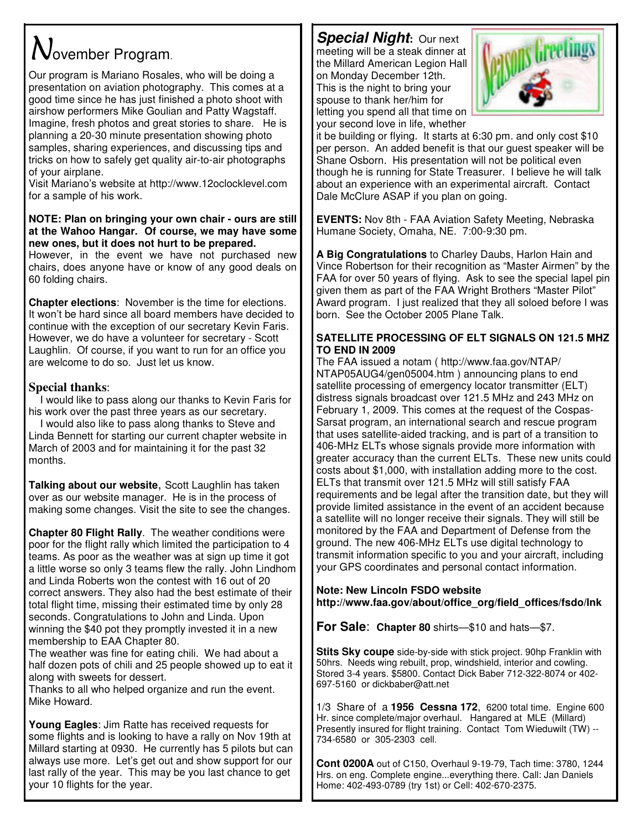# $N$ ovember Program.

Our program is Mariano Rosales, who will be doing a presentation on aviation photography. This comes at a good time since he has just finished a photo shoot with airshow performers Mike Goulian and Patty Wagstaff. Imagine, fresh photos and great stories to share. He is planning a 20-30 minute presentation showing photo samples, sharing experiences, and discussing tips and tricks on how to safely get quality air-to-air photographs of your airplane.

Visit Mariano's website at http://www.12oclocklevel.com for a sample of his work.

### **NOTE: Plan on bringing your own chair - ours are still at the Wahoo Hangar. Of course, we may have some new ones, but it does not hurt to be prepared.**

However, in the event we have not purchased new chairs, does anyone have or know of any good deals on 60 folding chairs.

**Chapter elections**: November is the time for elections. It won't be hard since all board members have decided to continue with the exception of our secretary Kevin Faris. However, we do have a volunteer for secretary - Scott Laughlin. Of course, if you want to run for an office you are welcome to do so. Just let us know.

## **Special thanks**:

I would like to pass along our thanks to Kevin Faris for his work over the past three years as our secretary.

I would also like to pass along thanks to Steve and Linda Bennett for starting our current chapter website in March of 2003 and for maintaining it for the past 32 months.

**Talking about our website**, Scott Laughlin has taken over as our website manager. He is in the process of making some changes. Visit the site to see the changes.

**Chapter 80 Flight Rally**. The weather conditions were poor for the flight rally which limited the participation to 4 teams. As poor as the weather was at sign up time it got a little worse so only 3 teams flew the rally. John Lindhom and Linda Roberts won the contest with 16 out of 20 correct answers. They also had the best estimate of their total flight time, missing their estimated time by only 28 seconds. Congratulations to John and Linda. Upon winning the \$40 pot they promptly invested it in a new membership to EAA Chapter 80.

The weather was fine for eating chili. We had about a half dozen pots of chili and 25 people showed up to eat it along with sweets for dessert.

Thanks to all who helped organize and run the event. Mike Howard.

**Young Eagles**: Jim Ratte has received requests for some flights and is looking to have a rally on Nov 19th at Millard starting at 0930. He currently has 5 pilots but can always use more. Let's get out and show support for our last rally of the year. This may be you last chance to get your 10 flights for the year.

*Special Night***:** Our next meeting will be a steak dinner at the Millard American Legion Hall on Monday December 12th. This is the night to bring your spouse to thank her/him for letting you spend all that time on your second love in life, whether



it be building or flying. It starts at 6:30 pm. and only cost \$10 per person. An added benefit is that our guest speaker will be Shane Osborn. His presentation will not be political even though he is running for State Treasurer. I believe he will talk about an experience with an experimental aircraft. Contact Dale McClure ASAP if you plan on going.

**EVENTS:** Nov 8th - FAA Aviation Safety Meeting, Nebraska Humane Society, Omaha, NE. 7:00-9:30 pm.

**A Big Congratulations** to Charley Daubs, Harlon Hain and Vince Robertson for their recognition as "Master Airmen" by the FAA for over 50 years of flying. Ask to see the special lapel pin given them as part of the FAA Wright Brothers "Master Pilot" Award program. I just realized that they all soloed before I was born. See the October 2005 Plane Talk.

## **SATELLITE PROCESSING OF ELT SIGNALS ON 121.5 MHZ TO END IN 2009**

The FAA issued a notam ( http://www.faa.gov/NTAP/ NTAP05AUG4/gen05004.htm ) announcing plans to end satellite processing of emergency locator transmitter (ELT) distress signals broadcast over 121.5 MHz and 243 MHz on February 1, 2009. This comes at the request of the Cospas-Sarsat program, an international search and rescue program that uses satellite-aided tracking, and is part of a transition to 406-MHz ELTs whose signals provide more information with greater accuracy than the current ELTs. These new units could costs about \$1,000, with installation adding more to the cost. ELTs that transmit over 121.5 MHz will still satisfy FAA requirements and be legal after the transition date, but they will provide limited assistance in the event of an accident because a satellite will no longer receive their signals. They will still be monitored by the FAA and Department of Defense from the ground. The new 406-MHz ELTs use digital technology to transmit information specific to you and your aircraft, including your GPS coordinates and personal contact information.

**Note: New Lincoln FSDO website http://www.faa.gov/about/office\_org/field\_offices/fsdo/lnk**

**For Sale**: **Chapter 80** shirts—\$10 and hats—\$7.

**Stits Sky coupe** side-by-side with stick project. 90hp Franklin with 50hrs. Needs wing rebuilt, prop, windshield, interior and cowling. Stored 3-4 years. \$5800. Contact Dick Baber 712-322-8074 or 402- 697-5160 or dickbaber@att.net

1/3 Share of a **1956 Cessna 172**, 6200 total time. Engine 600 Hr. since complete/major overhaul. Hangared at MLE (Millard) Presently insured for flight training. Contact Tom Wieduwilt (TW) -- 734-6580 or 305-2303 cell.

**Cont 0200A** out of C150, Overhaul 9-19-79, Tach time: 3780, 1244 Hrs. on eng. Complete engine...everything there. Call: Jan Daniels Home: 402-493-0789 (try 1st) or Cell: 402-670-2375.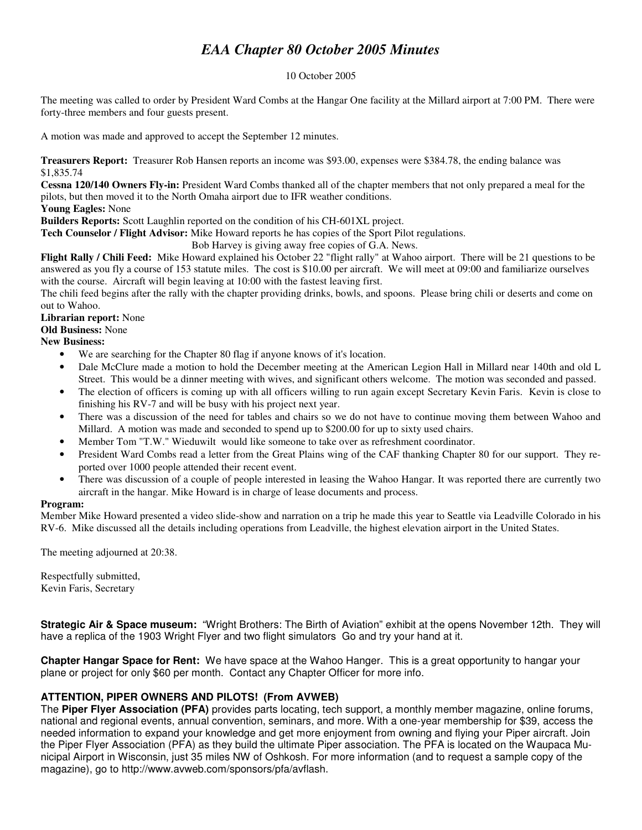## *EAA Chapter 80 October 2005 Minutes*

#### 10 October 2005

The meeting was called to order by President Ward Combs at the Hangar One facility at the Millard airport at 7:00 PM. There were forty-three members and four guests present.

A motion was made and approved to accept the September 12 minutes.

**Treasurers Report:** Treasurer Rob Hansen reports an income was \$93.00, expenses were \$384.78, the ending balance was \$1,835.74

**Cessna 120/140 Owners Fly-in:** President Ward Combs thanked all of the chapter members that not only prepared a meal for the pilots, but then moved it to the North Omaha airport due to IFR weather conditions.

### **Young Eagles:** None

**Builders Reports:** Scott Laughlin reported on the condition of his CH-601XL project.

**Tech Counselor / Flight Advisor:** Mike Howard reports he has copies of the Sport Pilot regulations.

Bob Harvey is giving away free copies of G.A. News.

**Flight Rally / Chili Feed:** Mike Howard explained his October 22 "flight rally" at Wahoo airport. There will be 21 questions to be answered as you fly a course of 153 statute miles. The cost is \$10.00 per aircraft. We will meet at 09:00 and familiarize ourselves with the course. Aircraft will begin leaving at 10:00 with the fastest leaving first.

The chili feed begins after the rally with the chapter providing drinks, bowls, and spoons. Please bring chili or deserts and come on out to Wahoo.

### **Librarian report:** None

**Old Business:** None

**New Business:**

- We are searching for the Chapter 80 flag if anyone knows of it's location.
- Dale McClure made a motion to hold the December meeting at the American Legion Hall in Millard near 140th and old L Street. This would be a dinner meeting with wives, and significant others welcome. The motion was seconded and passed.
- The election of officers is coming up with all officers willing to run again except Secretary Kevin Faris. Kevin is close to finishing his RV-7 and will be busy with his project next year.
- There was a discussion of the need for tables and chairs so we do not have to continue moving them between Wahoo and Millard. A motion was made and seconded to spend up to \$200.00 for up to sixty used chairs.
- Member Tom "T.W." Wieduwilt would like someone to take over as refreshment coordinator.
- President Ward Combs read a letter from the Great Plains wing of the CAF thanking Chapter 80 for our support. They reported over 1000 people attended their recent event.
- There was discussion of a couple of people interested in leasing the Wahoo Hangar. It was reported there are currently two aircraft in the hangar. Mike Howard is in charge of lease documents and process.

#### **Program:**

Member Mike Howard presented a video slide-show and narration on a trip he made this year to Seattle via Leadville Colorado in his RV-6. Mike discussed all the details including operations from Leadville, the highest elevation airport in the United States.

The meeting adjourned at 20:38.

Respectfully submitted, Kevin Faris, Secretary

**Strategic Air & Space museum:** "Wright Brothers: The Birth of Aviation" exhibit at the opens November 12th. They will have a replica of the 1903 Wright Flyer and two flight simulators Go and try your hand at it.

**Chapter Hangar Space for Rent:** We have space at the Wahoo Hanger. This is a great opportunity to hangar your plane or project for only \$60 per month. Contact any Chapter Officer for more info.

## **ATTENTION, PIPER OWNERS AND PILOTS! (From AVWEB)**

The **Piper Flyer Association (PFA)** provides parts locating, tech support, a monthly member magazine, online forums, national and regional events, annual convention, seminars, and more. With a one-year membership for \$39, access the needed information to expand your knowledge and get more enjoyment from owning and flying your Piper aircraft. Join the Piper Flyer Association (PFA) as they build the ultimate Piper association. The PFA is located on the Waupaca Municipal Airport in Wisconsin, just 35 miles NW of Oshkosh. For more information (and to request a sample copy of the magazine), go to http://www.avweb.com/sponsors/pfa/avflash.